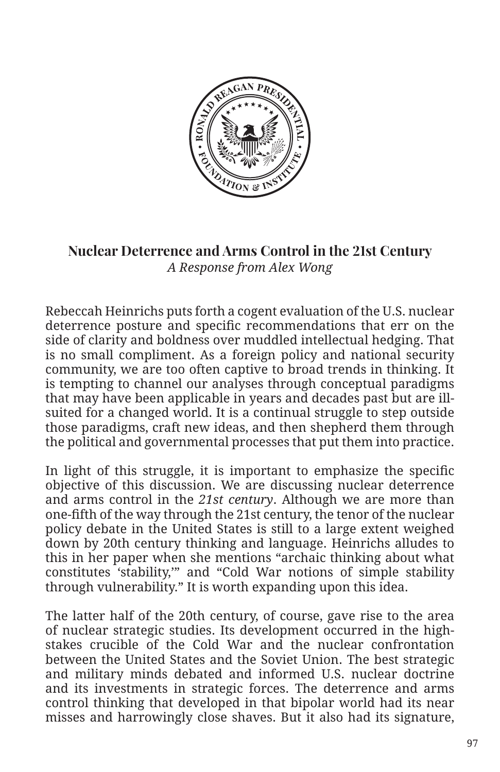

## **Nuclear Deterrence and Arms Control in the 21st Century** *A Response from Alex Wong*

Rebeccah Heinrichs puts forth a cogent evaluation of the U.S. nuclear deterrence posture and specific recommendations that err on the side of clarity and boldness over muddled intellectual hedging. That is no small compliment. As a foreign policy and national security community, we are too often captive to broad trends in thinking. It is tempting to channel our analyses through conceptual paradigms that may have been applicable in years and decades past but are illsuited for a changed world. It is a continual struggle to step outside those paradigms, craft new ideas, and then shepherd them through the political and governmental processes that put them into practice.

In light of this struggle, it is important to emphasize the specific objective of this discussion. We are discussing nuclear deterrence and arms control in the *21st century*. Although we are more than one-fifth of the way through the 21st century, the tenor of the nuclear policy debate in the United States is still to a large extent weighed down by 20th century thinking and language. Heinrichs alludes to this in her paper when she mentions "archaic thinking about what constitutes 'stability,'" and "Cold War notions of simple stability through vulnerability." It is worth expanding upon this idea.

The latter half of the 20th century, of course, gave rise to the area of nuclear strategic studies. Its development occurred in the highstakes crucible of the Cold War and the nuclear confrontation between the United States and the Soviet Union. The best strategic and military minds debated and informed U.S. nuclear doctrine and its investments in strategic forces. The deterrence and arms control thinking that developed in that bipolar world had its near misses and harrowingly close shaves. But it also had its signature,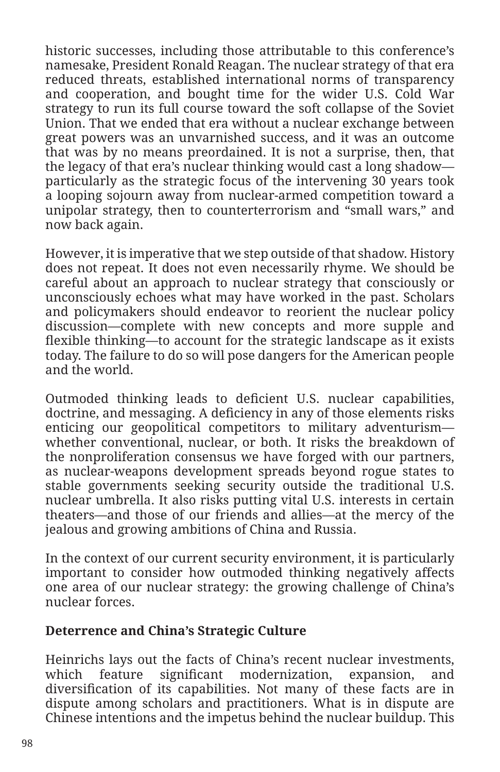historic successes, including those attributable to this conference's namesake, President Ronald Reagan. The nuclear strategy of that era reduced threats, established international norms of transparency and cooperation, and bought time for the wider U.S. Cold War strategy to run its full course toward the soft collapse of the Soviet Union. That we ended that era without a nuclear exchange between great powers was an unvarnished success, and it was an outcome that was by no means preordained. It is not a surprise, then, that the legacy of that era's nuclear thinking would cast a long shadow particularly as the strategic focus of the intervening 30 years took a looping sojourn away from nuclear-armed competition toward a unipolar strategy, then to counterterrorism and "small wars," and now back again.

However, it is imperative that we step outside of that shadow. History does not repeat. It does not even necessarily rhyme. We should be careful about an approach to nuclear strategy that consciously or unconsciously echoes what may have worked in the past. Scholars and policymakers should endeavor to reorient the nuclear policy discussion—complete with new concepts and more supple and flexible thinking—to account for the strategic landscape as it exists today. The failure to do so will pose dangers for the American people and the world.

Outmoded thinking leads to deficient U.S. nuclear capabilities, doctrine, and messaging. A deficiency in any of those elements risks enticing our geopolitical competitors to military adventurism whether conventional, nuclear, or both. It risks the breakdown of the nonproliferation consensus we have forged with our partners, as nuclear-weapons development spreads beyond rogue states to stable governments seeking security outside the traditional U.S. nuclear umbrella. It also risks putting vital U.S. interests in certain theaters—and those of our friends and allies—at the mercy of the jealous and growing ambitions of China and Russia.

In the context of our current security environment, it is particularly important to consider how outmoded thinking negatively affects one area of our nuclear strategy: the growing challenge of China's nuclear forces.

## **Deterrence and China's Strategic Culture**

Heinrichs lays out the facts of China's recent nuclear investments, which feature significant modernization, expansion, and diversification of its capabilities. Not many of these facts are in dispute among scholars and practitioners. What is in dispute are Chinese intentions and the impetus behind the nuclear buildup. This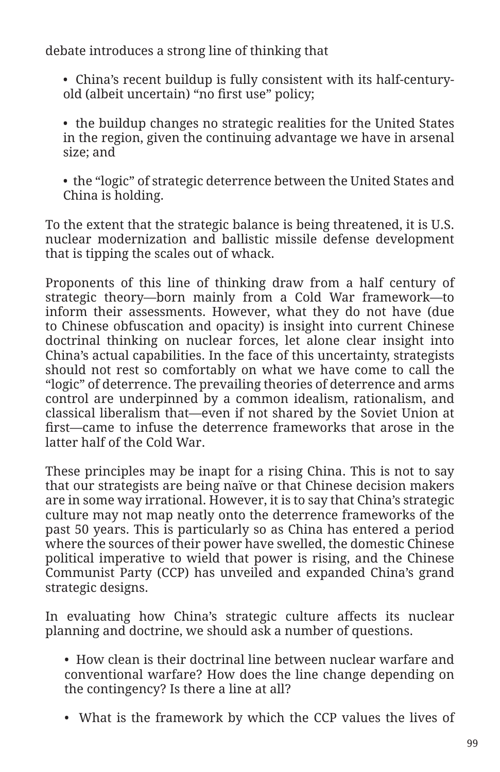debate introduces a strong line of thinking that

• China's recent buildup is fully consistent with its half-centuryold (albeit uncertain) "no first use" policy;

• the buildup changes no strategic realities for the United States in the region, given the continuing advantage we have in arsenal size; and

• the "logic" of strategic deterrence between the United States and China is holding.

To the extent that the strategic balance is being threatened, it is U.S. nuclear modernization and ballistic missile defense development that is tipping the scales out of whack.

Proponents of this line of thinking draw from a half century of strategic theory—born mainly from a Cold War framework—to inform their assessments. However, what they do not have (due to Chinese obfuscation and opacity) is insight into current Chinese doctrinal thinking on nuclear forces, let alone clear insight into China's actual capabilities. In the face of this uncertainty, strategists should not rest so comfortably on what we have come to call the "logic" of deterrence. The prevailing theories of deterrence and arms control are underpinned by a common idealism, rationalism, and classical liberalism that—even if not shared by the Soviet Union at first—came to infuse the deterrence frameworks that arose in the latter half of the Cold War.

These principles may be inapt for a rising China. This is not to say that our strategists are being naïve or that Chinese decision makers are in some way irrational. However, it is to say that China's strategic culture may not map neatly onto the deterrence frameworks of the past 50 years. This is particularly so as China has entered a period where the sources of their power have swelled, the domestic Chinese political imperative to wield that power is rising, and the Chinese Communist Party (CCP) has unveiled and expanded China's grand strategic designs.

In evaluating how China's strategic culture affects its nuclear planning and doctrine, we should ask a number of questions.

• How clean is their doctrinal line between nuclear warfare and conventional warfare? How does the line change depending on the contingency? Is there a line at all?

• What is the framework by which the CCP values the lives of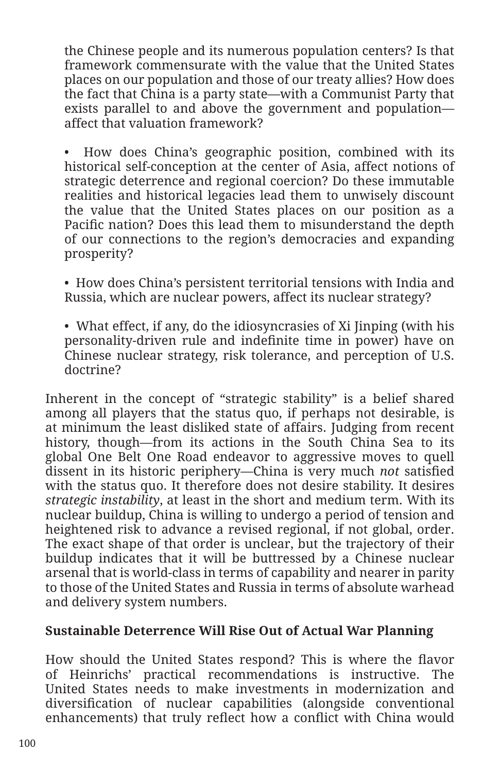the Chinese people and its numerous population centers? Is that framework commensurate with the value that the United States places on our population and those of our treaty allies? How does the fact that China is a party state—with a Communist Party that exists parallel to and above the government and population affect that valuation framework?

• How does China's geographic position, combined with its historical self-conception at the center of Asia, affect notions of strategic deterrence and regional coercion? Do these immutable realities and historical legacies lead them to unwisely discount the value that the United States places on our position as a Pacific nation? Does this lead them to misunderstand the depth of our connections to the region's democracies and expanding prosperity?

• How does China's persistent territorial tensions with India and Russia, which are nuclear powers, affect its nuclear strategy?

• What effect, if any, do the idiosyncrasies of Xi Jinping (with his personality-driven rule and indefinite time in power) have on Chinese nuclear strategy, risk tolerance, and perception of U.S. doctrine?

Inherent in the concept of "strategic stability" is a belief shared among all players that the status quo, if perhaps not desirable, is at minimum the least disliked state of affairs. Judging from recent history, though—from its actions in the South China Sea to its global One Belt One Road endeavor to aggressive moves to quell dissent in its historic periphery—China is very much *not* satisfied with the status quo. It therefore does not desire stability. It desires *strategic instability*, at least in the short and medium term. With its nuclear buildup, China is willing to undergo a period of tension and heightened risk to advance a revised regional, if not global, order. The exact shape of that order is unclear, but the trajectory of their buildup indicates that it will be buttressed by a Chinese nuclear arsenal that is world-class in terms of capability and nearer in parity to those of the United States and Russia in terms of absolute warhead and delivery system numbers.

## **Sustainable Deterrence Will Rise Out of Actual War Planning**

How should the United States respond? This is where the flavor of Heinrichs' practical recommendations is instructive. The United States needs to make investments in modernization and diversification of nuclear capabilities (alongside conventional enhancements) that truly reflect how a conflict with China would